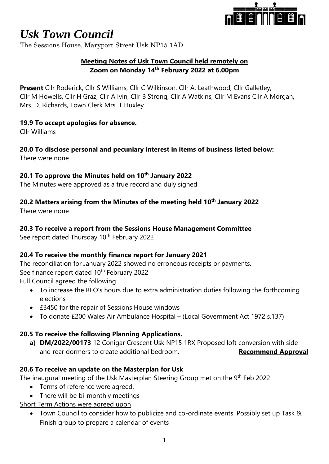

The Sessions House, Maryport Street Usk NP15 1AD

#### **Meeting Notes of Usk Town Council held remotely on Zoom on Monday 14th February 2022 at 6.00pm**

**Present** Cllr Roderick, Cllr S Williams, Cllr C Wilkinson, Cllr A. Leathwood, Cllr Galletley, Cllr M Howells, Cllr H Graz, Cllr A Ivin, Cllr B Strong, Cllr A Watkins, Cllr M Evans Cllr A Morgan, Mrs. D. Richards, Town Clerk Mrs. T Huxley

#### **19.9 To accept apologies for absence.**

Cllr Williams

### **20.0 To disclose personal and pecuniary interest in items of business listed below:**

There were none

#### **20.1 To approve the Minutes held on 10th January 2022**

The Minutes were approved as a true record and duly signed

#### **20.2 Matters arising from the Minutes of the meeting held 10th January 2022**

There were none

#### **20.3 To receive a report from the Sessions House Management Committee**

See report dated Thursday 10<sup>th</sup> February 2022

#### **20.4 To receive the monthly finance report for January 2021**

The reconciliation for January 2022 showed no erroneous receipts or payments. See finance report dated 10<sup>th</sup> February 2022 Full Council agreed the following

- To increase the RFO's hours due to extra administration duties following the forthcoming elections
- £3450 for the repair of Sessions House windows
- To donate £200 Wales Air Ambulance Hospital (Local Government Act 1972 s.137)

#### **20.5 To receive the following Planning Applications.**

**a) DM/2022/00173** 12 Conigar Crescent Usk NP15 1RX Proposed loft conversion with side and rear dormers to create additional bedroom. **Recommend Approval** 

#### **20.6 To receive an update on the Masterplan for Usk**

The inaugural meeting of the Usk Masterplan Steering Group met on the 9<sup>th</sup> Feb 2022

- Terms of reference were agreed.
- There will be bi-monthly meetings
- Short Term Actions were agreed upon
	- Town Council to consider how to publicize and co-ordinate events. Possibly set up Task & Finish group to prepare a calendar of events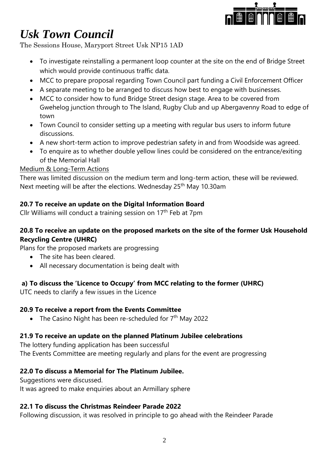

The Sessions House, Maryport Street Usk NP15 1AD

- To investigate reinstalling a permanent loop counter at the site on the end of Bridge Street which would provide continuous traffic data.
- MCC to prepare proposal regarding Town Council part funding a Civil Enforcement Officer
- A separate meeting to be arranged to discuss how best to engage with businesses.
- MCC to consider how to fund Bridge Street design stage. Area to be covered from Gwehelog junction through to The Island, Rugby Club and up Abergavenny Road to edge of town
- Town Council to consider setting up a meeting with regular bus users to inform future discussions.
- A new short-term action to improve pedestrian safety in and from Woodside was agreed.
- To enquire as to whether double yellow lines could be considered on the entrance/exiting of the Memorial Hall

#### Medium & Long-Term Actions

There was limited discussion on the medium term and long-term action, these will be reviewed. Next meeting will be after the elections. Wednesday 25<sup>th</sup> May 10.30am

#### **20.7 To receive an update on the Digital Information Board**

Cllr Williams will conduct a training session on 17<sup>th</sup> Feb at 7pm

#### **20.8 To receive an update on the proposed markets on the site of the former Usk Household Recycling Centre (UHRC)**

Plans for the proposed markets are progressing

- The site has been cleared.
- All necessary documentation is being dealt with

#### **a) To discuss the 'Licence to Occupy' from MCC relating to the former (UHRC)**

UTC needs to clarify a few issues in the Licence

#### **20.9 To receive a report from the Events Committee**

• The Casino Night has been re-scheduled for  $7<sup>th</sup>$  May 2022

#### **21.9 To receive an update on the planned Platinum Jubilee celebrations**

The lottery funding application has been successful The Events Committee are meeting regularly and plans for the event are progressing

#### **22.0 To discuss a Memorial for The Platinum Jubilee.**

Suggestions were discussed.

It was agreed to make enquiries about an Armillary sphere

#### **22.1 To discuss the Christmas Reindeer Parade 2022**

Following discussion, it was resolved in principle to go ahead with the Reindeer Parade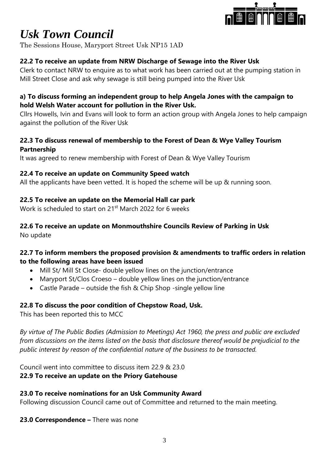

The Sessions House, Maryport Street Usk NP15 1AD

#### **22.2 To receive an update from NRW Discharge of Sewage into the River Usk**

Clerk to contact NRW to enquire as to what work has been carried out at the pumping station in Mill Street Close and ask why sewage is still being pumped into the River Usk

#### **a) To discuss forming an independent group to help Angela Jones with the campaign to hold Welsh Water account for pollution in the River Usk.**

Cllrs Howells, Ivin and Evans will look to form an action group with Angela Jones to help campaign against the pollution of the River Usk

#### **22.3 To discuss renewal of membership to the Forest of Dean & Wye Valley Tourism Partnership**

It was agreed to renew membership with Forest of Dean & Wye Valley Tourism

#### **22.4 To receive an update on Community Speed watch**

All the applicants have been vetted. It is hoped the scheme will be up & running soon.

#### **22.5 To receive an update on the Memorial Hall car park**

Work is scheduled to start on 21st March 2022 for 6 weeks

### **22.6 To receive an update on Monmouthshire Councils Review of Parking in Usk**

No update

#### **22.7 To inform members the proposed provision & amendments to traffic orders in relation to the following areas have been issued**

- Mill St/ Mill St Close- double yellow lines on the junction/entrance
- Maryport St/Clos Croeso double yellow lines on the junction/entrance
- Castle Parade outside the fish & Chip Shop -single yellow line

#### **22.8 To discuss the poor condition of Chepstow Road, Usk.**

This has been reported this to MCC

*By virtue of The Public Bodies (Admission to Meetings) Act 1960, the press and public are excluded from discussions on the items listed on the basis that disclosure thereof would be prejudicial to the public interest by reason of the confidential nature of the business to be transacted.*

Council went into committee to discuss item 22.9 & 23.0 **22.9 To receive an update on the Priory Gatehouse**

#### **23.0 To receive nominations for an Usk Community Award**

Following discussion Council came out of Committee and returned to the main meeting.

#### **23.0 Correspondence –** There was none